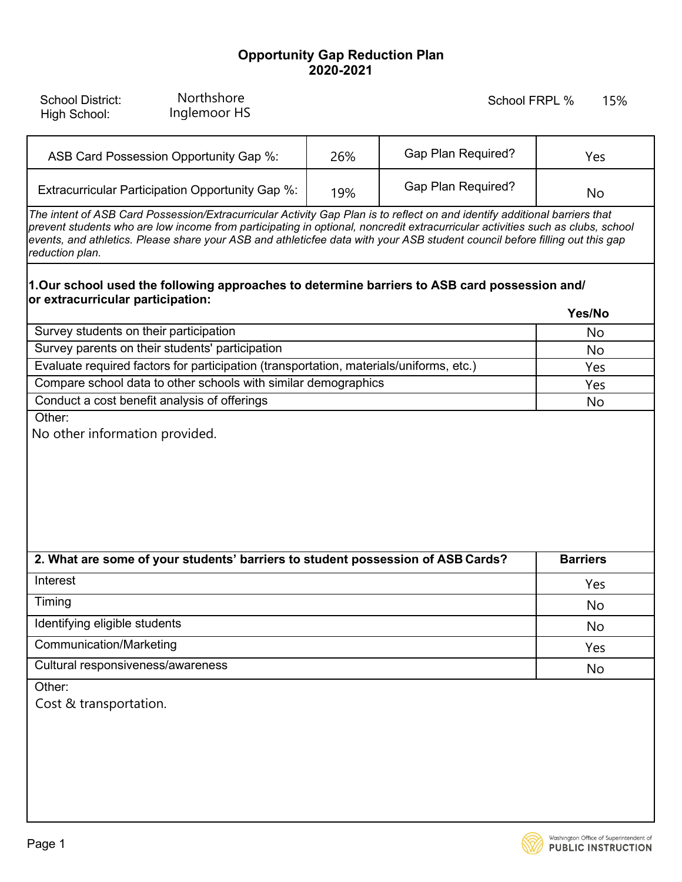## **Opportunity Gap Reduction Plan 2020-2021**

| <b>School District:</b><br>High School:                                                | Northshore<br>Inglemoor HS |     |                                                                                                                                                                                                                                                                                                                                                                                             | 15%<br>School FRPL % |
|----------------------------------------------------------------------------------------|----------------------------|-----|---------------------------------------------------------------------------------------------------------------------------------------------------------------------------------------------------------------------------------------------------------------------------------------------------------------------------------------------------------------------------------------------|----------------------|
| ASB Card Possession Opportunity Gap %:                                                 |                            | 26% | <b>Gap Plan Required?</b>                                                                                                                                                                                                                                                                                                                                                                   | Yes                  |
| Extracurricular Participation Opportunity Gap %:                                       |                            | 19% | <b>Gap Plan Required?</b>                                                                                                                                                                                                                                                                                                                                                                   | No                   |
| reduction plan.                                                                        |                            |     | The intent of ASB Card Possession/Extracurricular Activity Gap Plan is to reflect on and identify additional barriers that<br>prevent students who are low income from participating in optional, noncredit extracurricular activities such as clubs, school<br>events, and athletics. Please share your ASB and athleticfee data with your ASB student council before filling out this gap |                      |
| or extracurricular participation:                                                      |                            |     | 1.Our school used the following approaches to determine barriers to ASB card possession and/                                                                                                                                                                                                                                                                                                |                      |
|                                                                                        |                            |     |                                                                                                                                                                                                                                                                                                                                                                                             | Yes/No               |
| Survey students on their participation                                                 |                            |     |                                                                                                                                                                                                                                                                                                                                                                                             | No                   |
| Survey parents on their students' participation                                        |                            |     |                                                                                                                                                                                                                                                                                                                                                                                             | No                   |
| Evaluate required factors for participation (transportation, materials/uniforms, etc.) |                            |     |                                                                                                                                                                                                                                                                                                                                                                                             | Yes                  |
| Compare school data to other schools with similar demographics                         |                            |     |                                                                                                                                                                                                                                                                                                                                                                                             | Yes                  |
| Conduct a cost benefit analysis of offerings<br>Other:                                 |                            |     |                                                                                                                                                                                                                                                                                                                                                                                             | No                   |
|                                                                                        |                            |     |                                                                                                                                                                                                                                                                                                                                                                                             |                      |
| 2. What are some of your students' barriers to student possession of ASB Cards?        |                            |     |                                                                                                                                                                                                                                                                                                                                                                                             | <b>Barriers</b>      |
| Interest                                                                               |                            |     |                                                                                                                                                                                                                                                                                                                                                                                             | Yes                  |
| Timing                                                                                 |                            |     |                                                                                                                                                                                                                                                                                                                                                                                             | No                   |
| Identifying eligible students                                                          |                            |     |                                                                                                                                                                                                                                                                                                                                                                                             | No                   |
| <b>Communication/Marketing</b>                                                         |                            |     |                                                                                                                                                                                                                                                                                                                                                                                             | Yes                  |
| Cultural responsiveness/awareness                                                      |                            |     |                                                                                                                                                                                                                                                                                                                                                                                             | No                   |
| Other:<br>Cost & transportation.                                                       |                            |     |                                                                                                                                                                                                                                                                                                                                                                                             |                      |